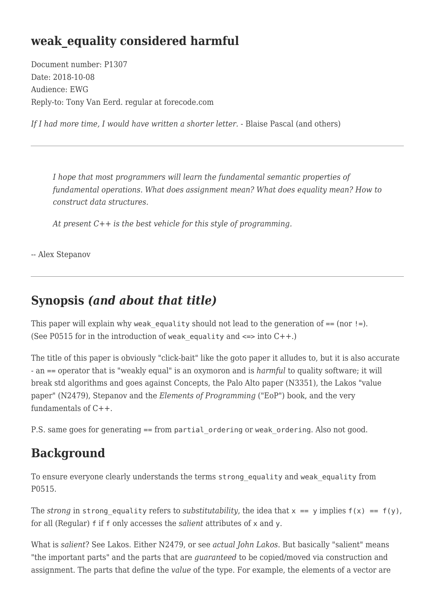# **weak\_equality considered harmful**

Document number: P1307 Date: 2018-10-08 Audience: EWG Reply-to: Tony Van Eerd. regular at forecode.com

*If I had more time, I would have written a shorter letter.* - Blaise Pascal (and others)

*I hope that most programmers will learn the fundamental semantic properties of fundamental operations. What does assignment mean? What does equality mean? How to construct data structures.*

*At present C++ is the best vehicle for this style of programming.*

-- Alex Stepanov

### **Synopsis** *(and about that title)*

This paper will explain why weak equality should not lead to the generation of  $==$  (nor  $!=$ ). (See P0515 for in the introduction of weak equality and  $\le$  => into C++.)

The title of this paper is obviously "click-bait" like the goto paper it alludes to, but it is also accurate - an == operator that is "weakly equal" is an oxymoron and is *harmful* to quality software; it will break std algorithms and goes against Concepts, the Palo Alto paper (N3351), the Lakos "value paper" (N2479), Stepanov and the *Elements of Programming* ("EoP") book, and the very fundamentals of C++.

P.S. same goes for generating == from partial ordering or weak ordering. Also not good.

### **Background**

To ensure everyone clearly understands the terms strong\_equality and weak\_equality from P0515.

The *strong* in strong equality refers to *substitutability*, the idea that  $x = y$  implies  $f(x) = f(y)$ , for all (Regular) f if f only accesses the *salient* attributes of x and y.

What is *salient*? See Lakos. Either N2479, or see *actual John Lakos*. But basically "salient" means "the important parts" and the parts that are *guaranteed* to be copied/moved via construction and assignment. The parts that define the *value* of the type. For example, the elements of a vector are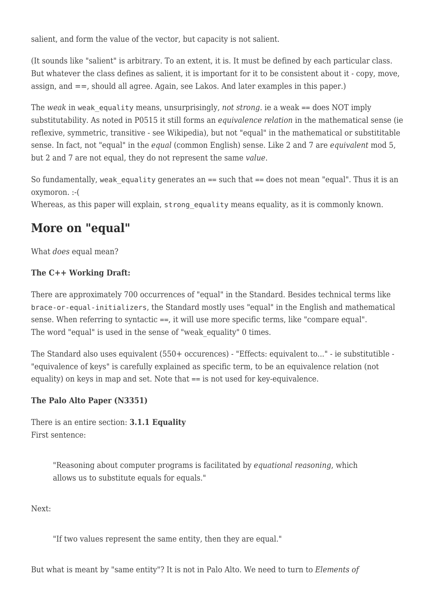salient, and form the value of the vector, but capacity is not salient.

(It sounds like "salient" is arbitrary. To an extent, it is. It must be defined by each particular class. But whatever the class defines as salient, it is important for it to be consistent about it - copy, move, assign, and ==, should all agree. Again, see Lakos. And later examples in this paper.)

The *weak* in weak equality means, unsurprisingly, *not strong*. ie a weak == does NOT imply substitutability. As noted in P0515 it still forms an *equivalence relation* in the mathematical sense (ie reflexive, symmetric, transitive - see Wikipedia), but not "equal" in the mathematical or substititable sense. In fact, not "equal" in the *equal* (common English) sense. Like 2 and 7 are *equivalent* mod 5, but 2 and 7 are not equal, they do not represent the same *value*.

So fundamentally, weak equality generates an  $==$  such that  $==$  does not mean "equal". Thus it is an oxymoron. :-(

Whereas, as this paper will explain, strong equality means equality, as it is commonly known.

## **More on "equal"**

What *does* equal mean?

#### **The C++ Working Draft:**

There are approximately 700 occurrences of "equal" in the Standard. Besides technical terms like brace-or-equal-initializers, the Standard mostly uses "equal" in the English and mathematical sense. When referring to syntactic ==, it will use more specific terms, like "compare equal". The word "equal" is used in the sense of "weak equality" 0 times.

The Standard also uses equivalent (550+ occurences) - "Effects: equivalent to..." - ie substitutible - "equivalence of keys" is carefully explained as specific term, to be an equivalence relation (not equality) on keys in map and set. Note that == is not used for key-equivalence.

#### **The Palo Alto Paper (N3351)**

There is an entire section: **3.1.1 Equality** First sentence:

> "Reasoning about computer programs is facilitated by *equational reasoning*, which allows us to substitute equals for equals."

Next:

"If two values represent the same entity, then they are equal."

But what is meant by "same entity"? It is not in Palo Alto. We need to turn to *Elements of*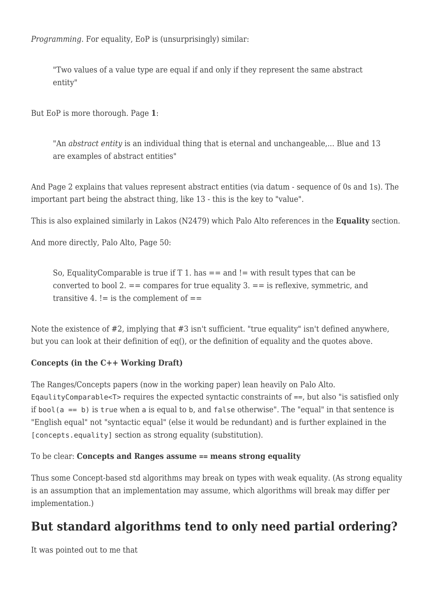*Programming*. For equality, EoP is (unsurprisingly) similar:

"Two values of a value type are equal if and only if they represent the same abstract entity"

But EoP is more thorough. Page **1**:

"An *abstract entity* is an individual thing that is eternal and unchangeable,... Blue and 13 are examples of abstract entities"

And Page 2 explains that values represent abstract entities (via datum - sequence of 0s and 1s). The important part being the abstract thing, like 13 - this is the key to "value".

This is also explained similarly in Lakos (N2479) which Palo Alto references in the **Equality** section.

And more directly, Palo Alto, Page 50:

So, EqualityComparable is true if  $T 1$ . has  $==$  and  $!=$  with result types that can be converted to bool 2.  $=$  = compares for true equality 3.  $=$  = is reflexive, symmetric, and transitive 4.  $!=$  is the complement of  $==$ 

Note the existence of #2, implying that #3 isn't sufficient. "true equality" isn't defined anywhere, but you can look at their definition of eq(), or the definition of equality and the quotes above.

#### **Concepts (in the C++ Working Draft)**

The Ranges/Concepts papers (now in the working paper) lean heavily on Palo Alto. EqaulityComparable<T> requires the expected syntactic constraints of ==, but also "is satisfied only if bool( $a == b$ ) is true when a is equal to b, and false otherwise". The "equal" in that sentence is "English equal" not "syntactic equal" (else it would be redundant) and is further explained in the [concepts.equality] section as strong equality (substitution).

#### To be clear: **Concepts and Ranges assume == means strong equality**

Thus some Concept-based std algorithms may break on types with weak equality. (As strong equality is an assumption that an implementation may assume, which algorithms will break may differ per implementation.)

# **But standard algorithms tend to only need partial ordering?**

It was pointed out to me that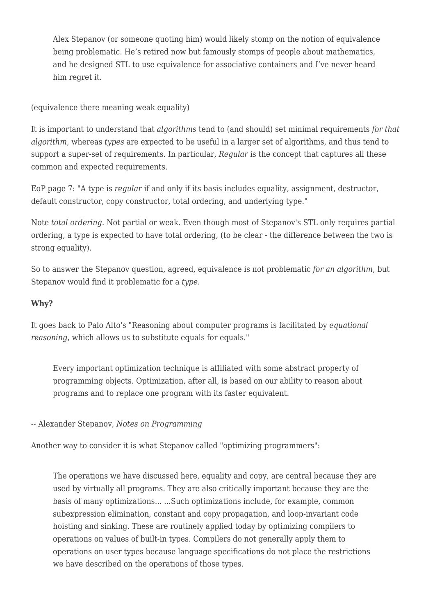Alex Stepanov (or someone quoting him) would likely stomp on the notion of equivalence being problematic. He's retired now but famously stomps of people about mathematics, and he designed STL to use equivalence for associative containers and I've never heard him regret it.

(equivalence there meaning weak equality)

It is important to understand that *algorithms* tend to (and should) set minimal requirements *for that algorithm*, whereas *types* are expected to be useful in a larger set of algorithms, and thus tend to support a super-set of requirements. In particular, *Regular* is the concept that captures all these common and expected requirements.

EoP page 7: "A type is *regular* if and only if its basis includes equality, assignment, destructor, default constructor, copy constructor, total ordering, and underlying type."

Note *total ordering*. Not partial or weak. Even though most of Stepanov's STL only requires partial ordering, a type is expected to have total ordering, (to be clear - the difference between the two is strong equality).

So to answer the Stepanov question, agreed, equivalence is not problematic *for an algorithm*, but Stepanov would find it problematic for a *type*.

#### **Why?**

It goes back to Palo Alto's "Reasoning about computer programs is facilitated by *equational reasoning*, which allows us to substitute equals for equals."

Every important optimization technique is affiliated with some abstract property of programming objects. Optimization, after all, is based on our ability to reason about programs and to replace one program with its faster equivalent.

-- Alexander Stepanov, *Notes on Programming*

Another way to consider it is what Stepanov called "optimizing programmers":

The operations we have discussed here, equality and copy, are central because they are used by virtually all programs. They are also critically important because they are the basis of many optimizations... ...Such optimizations include, for example, common subexpression elimination, constant and copy propagation, and loop-invariant code hoisting and sinking. These are routinely applied today by optimizing compilers to operations on values of built-in types. Compilers do not generally apply them to operations on user types because language specifications do not place the restrictions we have described on the operations of those types.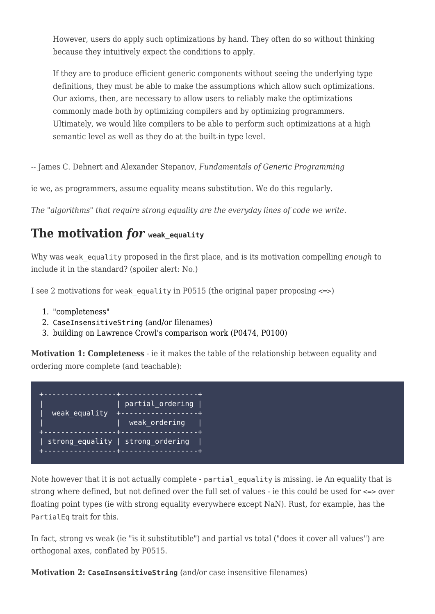However, users do apply such optimizations by hand. They often do so without thinking because they intuitively expect the conditions to apply.

If they are to produce efficient generic components without seeing the underlying type definitions, they must be able to make the assumptions which allow such optimizations. Our axioms, then, are necessary to allow users to reliably make the optimizations commonly made both by optimizing compilers and by optimizing programmers. Ultimately, we would like compilers to be able to perform such optimizations at a high semantic level as well as they do at the built-in type level.

-- James C. Dehnert and Alexander Stepanov, *Fundamentals of Generic Programming*

ie we, as programmers, assume equality means substitution. We do this regularly.

*The "algorithms" that require strong equality are the everyday lines of code we write.*

### **The motivation for** weak equality

Why was weak equality proposed in the first place, and is its motivation compelling *enough* to include it in the standard? (spoiler alert: No.)

I see 2 motivations for weak equality in P0515 (the original paper proposing  $\le$  >)

- 1. "completeness"
- 2. CaseInsensitiveString (and/or filenames)
- 3. building on Lawrence Crowl's comparison work (P0474, P0100)

**Motivation 1: Completeness** - ie it makes the table of the relationship between equality and ordering more complete (and teachable):

| weak equality | partial_ordering  <br>+-------------------+<br>weak ordering |
|---------------|--------------------------------------------------------------|
|               | strong equality   strong ordering                            |

Note however that it is not actually complete - partial equality is missing. ie An equality that is strong where defined, but not defined over the full set of values - ie this could be used for <=> over floating point types (ie with strong equality everywhere except NaN). Rust, for example, has the PartialEq trait for this.

In fact, strong vs weak (ie "is it substitutible") and partial vs total ("does it cover all values") are orthogonal axes, conflated by P0515.

**Motivation 2: CaseInsensitiveString** (and/or case insensitive filenames)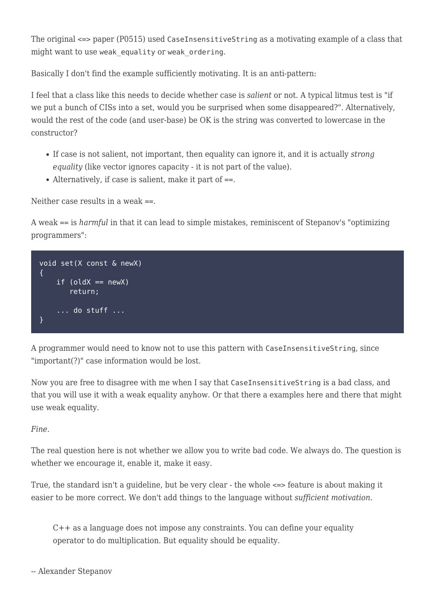The original <=> paper (P0515) used CaseInsensitiveString as a motivating example of a class that might want to use weak equality or weak ordering.

Basically I don't find the example sufficiently motivating. It is an anti-pattern:

I feel that a class like this needs to decide whether case is *salient* or not. A typical litmus test is "if we put a bunch of CISs into a set, would you be surprised when some disappeared?". Alternatively, would the rest of the code (and user-base) be OK is the string was converted to lowercase in the constructor?

- If case is not salient, not important, then equality can ignore it, and it is actually *strong equality* (like vector ignores capacity - it is not part of the value).
- Alternatively, if case is salient, make it part of ==.

Neither case results in a weak  $==$ .

A weak == is *harmful* in that it can lead to simple mistakes, reminiscent of Stepanov's "optimizing programmers":



A programmer would need to know not to use this pattern with CaseInsensitiveString, since "important(?)" case information would be lost.

Now you are free to disagree with me when I say that CaseInsensitiveString is a bad class, and that you will use it with a weak equality anyhow. Or that there a examples here and there that might use weak equality.

*Fine*.

The real question here is not whether we allow you to write bad code. We always do. The question is whether we encourage it, enable it, make it easy.

True, the standard isn't a guideline, but be very clear - the whole <=> feature is about making it easier to be more correct. We don't add things to the language without *sufficient motivation*.

C++ as a language does not impose any constraints. You can define your equality operator to do multiplication. But equality should be equality.

```
-- Alexander Stepanov
```